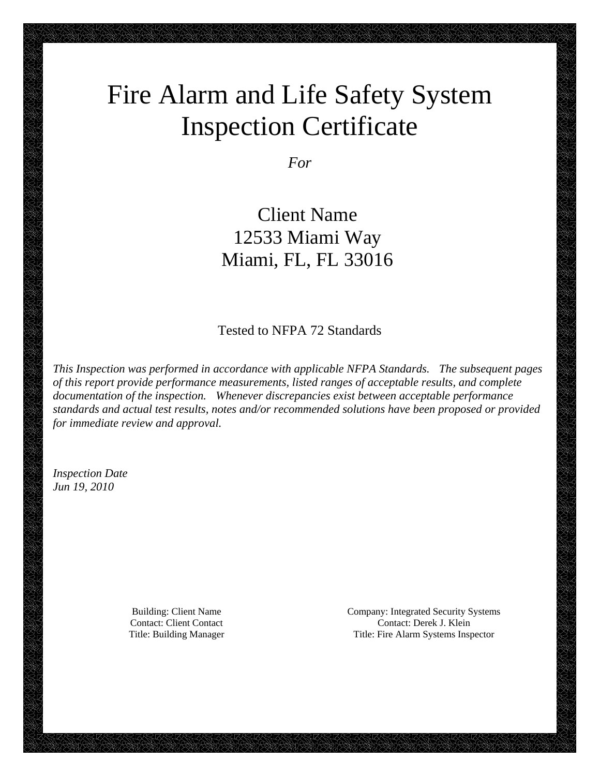# Fire Alarm and Life Safety System Inspection Certificate

*For* 

 Client Name 12533 Miami Way Miami, FL, FL 33016

Tested to NFPA 72 Standards

*This Inspection was performed in accordance with applicable NFPA Standards. The subsequent pages of this report provide performance measurements, listed ranges of acceptable results, and complete documentation of the inspection. Whenever discrepancies exist between acceptable performance standards and actual test results, notes and/or recommended solutions have been proposed or provided for immediate review and approval.* 

*Inspection Date Jun 19, 2010* 

Building: Client Name Company: Integrated Security Systems Contact: Client Contact Contact: Derek J. Klein Title: Building Manager Title: Fire Alarm Systems Inspector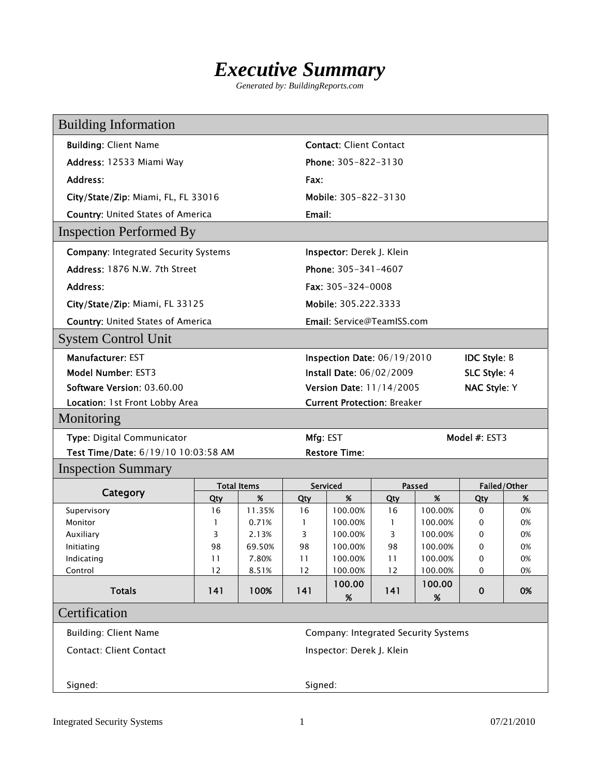## *Executive Summary*

*Generated by: BuildingReports.com* 

| <b>Building Information</b>                                    |                                      |                    |        |                                          |                   |                    |                     |              |
|----------------------------------------------------------------|--------------------------------------|--------------------|--------|------------------------------------------|-------------------|--------------------|---------------------|--------------|
| <b>Building: Client Name</b><br><b>Contact: Client Contact</b> |                                      |                    |        |                                          |                   |                    |                     |              |
| Address: 12533 Miami Way                                       |                                      |                    |        | Phone: 305-822-3130                      |                   |                    |                     |              |
| Address:                                                       |                                      |                    | Fax:   |                                          |                   |                    |                     |              |
| City/State/Zip: Miami, FL, FL 33016                            |                                      |                    |        | Mobile: 305-822-3130                     |                   |                    |                     |              |
| <b>Country: United States of America</b>                       |                                      |                    | Email: |                                          |                   |                    |                     |              |
| <b>Inspection Performed By</b>                                 |                                      |                    |        |                                          |                   |                    |                     |              |
| <b>Company: Integrated Security Systems</b>                    |                                      |                    |        | Inspector: Derek J. Klein                |                   |                    |                     |              |
| Address: 1876 N.W. 7th Street                                  |                                      |                    |        | Phone: 305-341-4607                      |                   |                    |                     |              |
| Address:                                                       |                                      |                    |        | Fax: $305 - 324 - 0008$                  |                   |                    |                     |              |
| City/State/Zip: Miami, FL 33125                                |                                      |                    |        | Mobile: 305.222.3333                     |                   |                    |                     |              |
| <b>Country: United States of America</b>                       |                                      |                    |        | <b>Email:</b> Service@TeamISS.com        |                   |                    |                     |              |
| <b>System Control Unit</b>                                     |                                      |                    |        |                                          |                   |                    |                     |              |
| <b>Manufacturer: EST</b>                                       |                                      |                    |        | Inspection Date: 06/19/2010              |                   |                    | <b>IDC Style: B</b> |              |
| Model Number: EST3                                             |                                      |                    |        | Install Date: 06/02/2009<br>SLC Style: 4 |                   |                    |                     |              |
| Software Version: 03.60.00                                     |                                      |                    |        | Version Date: 11/14/2005                 |                   |                    | <b>NAC Style: Y</b> |              |
| Location: 1st Front Lobby Area                                 |                                      |                    |        | <b>Current Protection: Breaker</b>       |                   |                    |                     |              |
| Monitoring                                                     |                                      |                    |        |                                          |                   |                    |                     |              |
| Type: Digital Communicator                                     |                                      |                    |        | Mfg: EST                                 |                   |                    | Model #: EST3       |              |
| Test Time/Date: 6/19/10 10:03:58 AM                            |                                      |                    |        | <b>Restore Time:</b>                     |                   |                    |                     |              |
| <b>Inspection Summary</b>                                      |                                      |                    |        |                                          |                   |                    |                     |              |
| Category                                                       |                                      | <b>Total Items</b> |        | Serviced                                 |                   | <b>Passed</b>      |                     | Failed/Other |
|                                                                | Qty                                  | %                  | Qty    | %                                        | Qty               | %                  | Qty                 | %            |
| Supervisory                                                    | 16                                   | 11.35%             | 16     | 100.00%                                  | 16                | 100.00%            | 0                   | 0%           |
| Monitor                                                        | 1<br>3                               | 0.71%<br>2.13%     | 1<br>3 | 100.00%<br>100.00%                       | $\mathbf{1}$<br>3 | 100.00%<br>100.00% | 0<br>0              | 0%<br>0%     |
| Auxiliary<br>Initiating                                        | 98                                   | 69.50%             | 98     | 100.00%                                  | 98                | 100.00%            | 0                   | 0%           |
| Indicating                                                     | 11                                   | 7.80%              | 11     | 100.00%                                  | 11                | 100.00%            | 0                   | 0%           |
| Control                                                        | 12                                   | 8.51%              | 12     | 100.00%                                  | 12                | 100.00%            | 0                   | 0%           |
| <b>Totals</b>                                                  | 141                                  | 100%               | 141    | 100.00<br>$\%$                           | 141               | 100.00<br>$\%$     | $\bf{0}$            | 0%           |
| Certification                                                  |                                      |                    |        |                                          |                   |                    |                     |              |
| <b>Building: Client Name</b>                                   | Company: Integrated Security Systems |                    |        |                                          |                   |                    |                     |              |
| <b>Contact: Client Contact</b>                                 |                                      |                    |        | Inspector: Derek J. Klein                |                   |                    |                     |              |
|                                                                |                                      |                    |        |                                          |                   |                    |                     |              |
| Signed:                                                        | Signed:                              |                    |        |                                          |                   |                    |                     |              |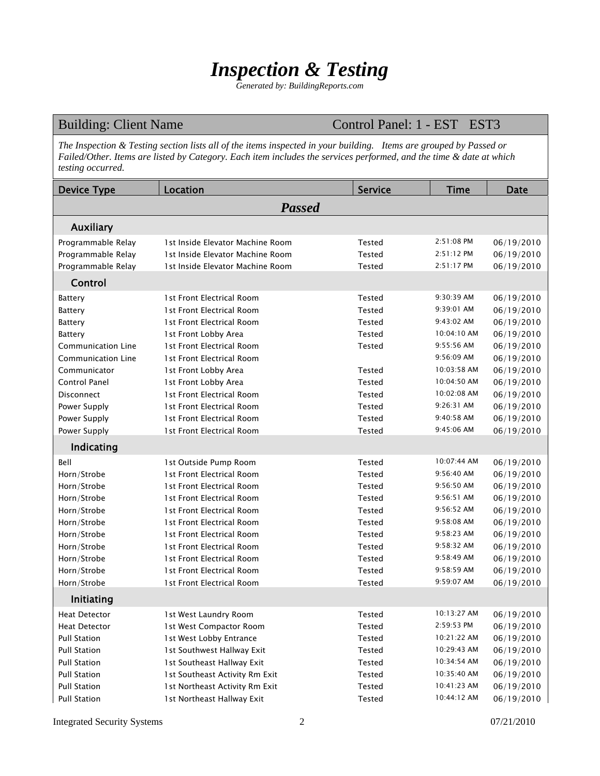## *Inspection & Testing*

*Generated by: BuildingReports.com* 

Building: Client Name Control Panel: 1 - EST EST3

*The Inspection & Testing section lists all of the items inspected in your building. Items are grouped by Passed or Failed/Other. Items are listed by Category. Each item includes the services performed, and the time & date at which testing occurred.* 

| <b>Device Type</b>   | Location                         | <b>Service</b> | <b>Time</b> | <b>Date</b> |
|----------------------|----------------------------------|----------------|-------------|-------------|
|                      | <b>Passed</b>                    |                |             |             |
| Auxiliary            |                                  |                |             |             |
| Programmable Relay   | 1st Inside Elevator Machine Room | Tested         | 2:51:08 PM  | 06/19/2010  |
| Programmable Relay   | 1st Inside Elevator Machine Room | <b>Tested</b>  | 2:51:12 PM  | 06/19/2010  |
| Programmable Relay   | 1st Inside Elevator Machine Room | Tested         | 2:51:17 PM  | 06/19/2010  |
| Control              |                                  |                |             |             |
| <b>Battery</b>       | 1st Front Electrical Room        | Tested         | 9:30:39 AM  | 06/19/2010  |
| <b>Battery</b>       | 1st Front Electrical Room        | <b>Tested</b>  | 9:39:01 AM  | 06/19/2010  |
| <b>Battery</b>       | 1st Front Electrical Room        | Tested         | 9:43:02 AM  | 06/19/2010  |
| <b>Battery</b>       | 1st Front Lobby Area             | Tested         | 10:04:10 AM | 06/19/2010  |
| Communication Line   | 1st Front Electrical Room        | <b>Tested</b>  | 9:55:56 AM  | 06/19/2010  |
| Communication Line   | 1st Front Electrical Room        |                | 9:56:09 AM  | 06/19/2010  |
| Communicator         | 1st Front Lobby Area             | <b>Tested</b>  | 10:03:58 AM | 06/19/2010  |
| Control Panel        | 1st Front Lobby Area             | Tested         | 10:04:50 AM | 06/19/2010  |
| Disconnect           | 1st Front Electrical Room        | Tested         | 10:02:08 AM | 06/19/2010  |
| Power Supply         | 1st Front Electrical Room        | <b>Tested</b>  | 9:26:31 AM  | 06/19/2010  |
| Power Supply         | 1st Front Electrical Room        | <b>Tested</b>  | 9:40:58 AM  | 06/19/2010  |
| Power Supply         | 1st Front Electrical Room        | Tested         | 9:45:06 AM  | 06/19/2010  |
| Indicating           |                                  |                |             |             |
| Bell                 | 1st Outside Pump Room            | <b>Tested</b>  | 10:07:44 AM | 06/19/2010  |
| Horn/Strobe          | 1st Front Electrical Room        | Tested         | 9:56:40 AM  | 06/19/2010  |
| Horn/Strobe          | 1st Front Electrical Room        | Tested         | 9:56:50 AM  | 06/19/2010  |
| Horn/Strobe          | 1st Front Electrical Room        | Tested         | 9:56:51 AM  | 06/19/2010  |
| Horn/Strobe          | 1st Front Electrical Room        | Tested         | 9:56:52 AM  | 06/19/2010  |
| Horn/Strobe          | 1st Front Electrical Room        | <b>Tested</b>  | 9:58:08 AM  | 06/19/2010  |
| Horn/Strobe          | 1st Front Electrical Room        | Tested         | 9:58:23 AM  | 06/19/2010  |
| Horn/Strobe          | 1st Front Electrical Room        | Tested         | 9:58:32 AM  | 06/19/2010  |
| Horn/Strobe          | 1st Front Electrical Room        | <b>Tested</b>  | 9:58:49 AM  | 06/19/2010  |
| Horn/Strobe          | 1st Front Electrical Room        | <b>Tested</b>  | 9:58:59 AM  | 06/19/2010  |
| Horn/Strobe          | 1st Front Electrical Room        | Tested         | 9:59:07 AM  | 06/19/2010  |
| Initiating           |                                  |                |             |             |
| <b>Heat Detector</b> | 1st West Laundry Room            | Tested         | 10:13:27 AM | 06/19/2010  |
| <b>Heat Detector</b> | 1st West Compactor Room          | Tested         | 2:59:53 PM  | 06/19/2010  |
| <b>Pull Station</b>  | 1st West Lobby Entrance          | Tested         | 10:21:22 AM | 06/19/2010  |
| <b>Pull Station</b>  | 1st Southwest Hallway Exit       | Tested         | 10:29:43 AM | 06/19/2010  |
| <b>Pull Station</b>  | 1st Southeast Hallway Exit       | Tested         | 10:34:54 AM | 06/19/2010  |
| <b>Pull Station</b>  | 1st Southeast Activity Rm Exit   | Tested         | 10:35:40 AM | 06/19/2010  |
| <b>Pull Station</b>  | 1st Northeast Activity Rm Exit   | Tested         | 10:41:23 AM | 06/19/2010  |
| <b>Pull Station</b>  | 1st Northeast Hallway Exit       | Tested         | 10:44:12 AM | 06/19/2010  |

Integrated Security Systems 2 07/21/2010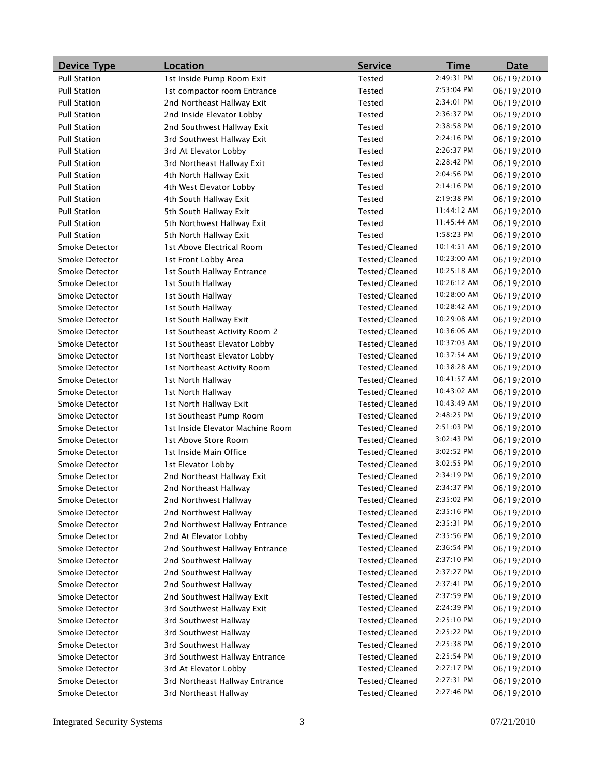| <b>Device Type</b>  | Location                         | <b>Service</b> | <b>Time</b> | <b>Date</b> |
|---------------------|----------------------------------|----------------|-------------|-------------|
| <b>Pull Station</b> | 1st Inside Pump Room Exit        | <b>Tested</b>  | 2:49:31 PM  | 06/19/2010  |
| <b>Pull Station</b> | 1st compactor room Entrance      | <b>Tested</b>  | 2:53:04 PM  | 06/19/2010  |
| <b>Pull Station</b> | 2nd Northeast Hallway Exit       | Tested         | 2:34:01 PM  | 06/19/2010  |
| <b>Pull Station</b> | 2nd Inside Elevator Lobby        | Tested         | 2:36:37 PM  | 06/19/2010  |
| <b>Pull Station</b> | 2nd Southwest Hallway Exit       | Tested         | 2:38:58 PM  | 06/19/2010  |
| <b>Pull Station</b> | 3rd Southwest Hallway Exit       | <b>Tested</b>  | 2:24:16 PM  | 06/19/2010  |
| <b>Pull Station</b> | 3rd At Elevator Lobby            | Tested         | 2:26:37 PM  | 06/19/2010  |
| <b>Pull Station</b> | 3rd Northeast Hallway Exit       | <b>Tested</b>  | 2:28:42 PM  | 06/19/2010  |
| <b>Pull Station</b> | 4th North Hallway Exit           | Tested         | 2:04:56 PM  | 06/19/2010  |
| <b>Pull Station</b> | 4th West Elevator Lobby          | Tested         | 2:14:16 PM  | 06/19/2010  |
| <b>Pull Station</b> | 4th South Hallway Exit           | <b>Tested</b>  | 2:19:38 PM  | 06/19/2010  |
| <b>Pull Station</b> | 5th South Hallway Exit           | Tested         | 11:44:12 AM | 06/19/2010  |
| <b>Pull Station</b> | 5th Northwest Hallway Exit       | Tested         | 11:45:44 AM | 06/19/2010  |
| <b>Pull Station</b> | 5th North Hallway Exit           | Tested         | 1:58:23 PM  | 06/19/2010  |
| Smoke Detector      | 1st Above Electrical Room        | Tested/Cleaned | 10:14:51 AM | 06/19/2010  |
| Smoke Detector      | 1st Front Lobby Area             | Tested/Cleaned | 10:23:00 AM | 06/19/2010  |
| Smoke Detector      | 1st South Hallway Entrance       | Tested/Cleaned | 10:25:18 AM | 06/19/2010  |
| Smoke Detector      | 1st South Hallway                | Tested/Cleaned | 10:26:12 AM | 06/19/2010  |
| Smoke Detector      | 1st South Hallway                | Tested/Cleaned | 10:28:00 AM | 06/19/2010  |
| Smoke Detector      | 1st South Hallway                | Tested/Cleaned | 10:28:42 AM | 06/19/2010  |
| Smoke Detector      | 1st South Hallway Exit           | Tested/Cleaned | 10:29:08 AM | 06/19/2010  |
| Smoke Detector      | 1st Southeast Activity Room 2    | Tested/Cleaned | 10:36:06 AM | 06/19/2010  |
| Smoke Detector      | 1st Southeast Elevator Lobby     | Tested/Cleaned | 10:37:03 AM | 06/19/2010  |
| Smoke Detector      | 1st Northeast Elevator Lobby     | Tested/Cleaned | 10:37:54 AM | 06/19/2010  |
| Smoke Detector      | 1st Northeast Activity Room      | Tested/Cleaned | 10:38:28 AM | 06/19/2010  |
| Smoke Detector      | 1st North Hallway                | Tested/Cleaned | 10:41:57 AM | 06/19/2010  |
| Smoke Detector      | 1st North Hallway                | Tested/Cleaned | 10:43:02 AM | 06/19/2010  |
| Smoke Detector      | 1st North Hallway Exit           | Tested/Cleaned | 10:43:49 AM | 06/19/2010  |
| Smoke Detector      | 1st Southeast Pump Room          | Tested/Cleaned | 2:48:25 PM  | 06/19/2010  |
| Smoke Detector      | 1st Inside Elevator Machine Room | Tested/Cleaned | 2:51:03 PM  | 06/19/2010  |
| Smoke Detector      | 1st Above Store Room             | Tested/Cleaned | 3:02:43 PM  | 06/19/2010  |
| Smoke Detector      | 1st Inside Main Office           | Tested/Cleaned | 3:02:52 PM  | 06/19/2010  |
| Smoke Detector      | 1st Elevator Lobby               | Tested/Cleaned | 3:02:55 PM  | 06/19/2010  |
| Smoke Detector      | 2nd Northeast Hallway Exit       | Tested/Cleaned | 2:34:19 PM  | 06/19/2010  |
| Smoke Detector      | 2nd Northeast Hallway            | Tested/Cleaned | 2:34:37 PM  | 06/19/2010  |
| Smoke Detector      | 2nd Northwest Hallway            | Tested/Cleaned | 2:35:02 PM  | 06/19/2010  |
| Smoke Detector      | 2nd Northwest Hallway            | Tested/Cleaned | 2:35:16 PM  | 06/19/2010  |
| Smoke Detector      | 2nd Northwest Hallway Entrance   | Tested/Cleaned | 2:35:31 PM  | 06/19/2010  |
| Smoke Detector      | 2nd At Elevator Lobby            | Tested/Cleaned | 2:35:56 PM  | 06/19/2010  |
| Smoke Detector      | 2nd Southwest Hallway Entrance   | Tested/Cleaned | 2:36:54 PM  | 06/19/2010  |
| Smoke Detector      | 2nd Southwest Hallway            | Tested/Cleaned | 2:37:10 PM  | 06/19/2010  |
| Smoke Detector      | 2nd Southwest Hallway            | Tested/Cleaned | 2:37:27 PM  | 06/19/2010  |
| Smoke Detector      | 2nd Southwest Hallway            | Tested/Cleaned | 2:37:41 PM  | 06/19/2010  |
| Smoke Detector      | 2nd Southwest Hallway Exit       | Tested/Cleaned | 2:37:59 PM  | 06/19/2010  |
| Smoke Detector      | 3rd Southwest Hallway Exit       | Tested/Cleaned | 2:24:39 PM  | 06/19/2010  |
| Smoke Detector      | 3rd Southwest Hallway            | Tested/Cleaned | 2:25:10 PM  | 06/19/2010  |
| Smoke Detector      | 3rd Southwest Hallway            | Tested/Cleaned | 2:25:22 PM  | 06/19/2010  |
| Smoke Detector      | 3rd Southwest Hallway            | Tested/Cleaned | 2:25:38 PM  | 06/19/2010  |
| Smoke Detector      | 3rd Southwest Hallway Entrance   | Tested/Cleaned | 2:25:54 PM  | 06/19/2010  |
| Smoke Detector      | 3rd At Elevator Lobby            | Tested/Cleaned | 2:27:17 PM  | 06/19/2010  |
| Smoke Detector      | 3rd Northeast Hallway Entrance   | Tested/Cleaned | 2:27:31 PM  | 06/19/2010  |
| Smoke Detector      | 3rd Northeast Hallway            | Tested/Cleaned | 2:27:46 PM  | 06/19/2010  |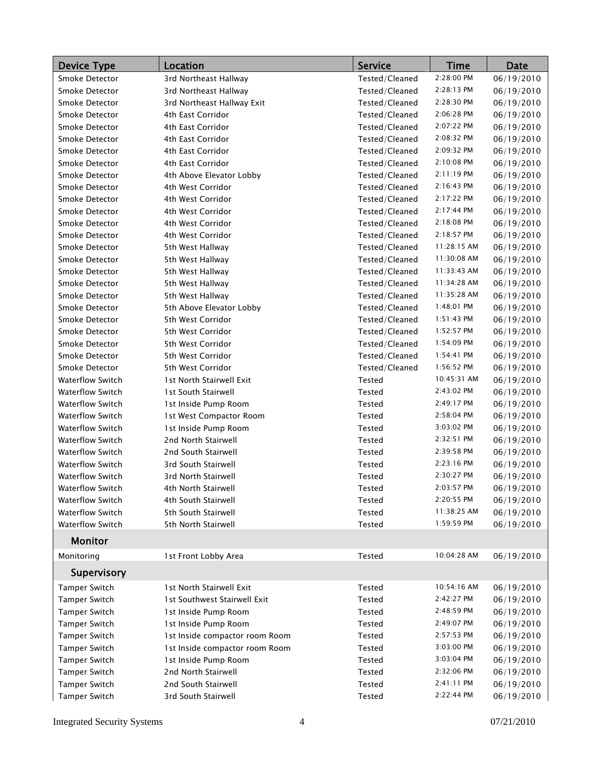| <b>Device Type</b>      | Location                       | <b>Service</b> | <b>Time</b>  | <b>Date</b> |
|-------------------------|--------------------------------|----------------|--------------|-------------|
| Smoke Detector          | 3rd Northeast Hallway          | Tested/Cleaned | 2:28:00 PM   | 06/19/2010  |
| Smoke Detector          | 3rd Northeast Hallway          | Tested/Cleaned | 2:28:13 PM   | 06/19/2010  |
| Smoke Detector          | 3rd Northeast Hallway Exit     | Tested/Cleaned | 2:28:30 PM   | 06/19/2010  |
| Smoke Detector          | 4th East Corridor              | Tested/Cleaned | 2:06:28 PM   | 06/19/2010  |
| Smoke Detector          | 4th East Corridor              | Tested/Cleaned | 2:07:22 PM   | 06/19/2010  |
| Smoke Detector          | 4th East Corridor              | Tested/Cleaned | 2:08:32 PM   | 06/19/2010  |
| Smoke Detector          | 4th East Corridor              | Tested/Cleaned | 2:09:32 PM   | 06/19/2010  |
| Smoke Detector          | 4th East Corridor              | Tested/Cleaned | 2:10:08 PM   | 06/19/2010  |
| Smoke Detector          | 4th Above Elevator Lobby       | Tested/Cleaned | 2:11:19 PM   | 06/19/2010  |
| Smoke Detector          | 4th West Corridor              | Tested/Cleaned | 2:16:43 PM   | 06/19/2010  |
| Smoke Detector          | 4th West Corridor              | Tested/Cleaned | 2:17:22 PM   | 06/19/2010  |
| Smoke Detector          | 4th West Corridor              | Tested/Cleaned | 2:17:44 PM   | 06/19/2010  |
| Smoke Detector          | 4th West Corridor              | Tested/Cleaned | 2:18:08 PM   | 06/19/2010  |
| Smoke Detector          | 4th West Corridor              | Tested/Cleaned | 2:18:57 PM   | 06/19/2010  |
| Smoke Detector          | 5th West Hallway               | Tested/Cleaned | 11:28:15 AM  | 06/19/2010  |
| Smoke Detector          | 5th West Hallway               | Tested/Cleaned | 11:30:08 AM  | 06/19/2010  |
| Smoke Detector          | 5th West Hallway               | Tested/Cleaned | 11:33:43 AM  | 06/19/2010  |
| Smoke Detector          | 5th West Hallway               | Tested/Cleaned | 11:34:28 AM  | 06/19/2010  |
| Smoke Detector          | 5th West Hallway               | Tested/Cleaned | 11:35:28 AM  | 06/19/2010  |
| Smoke Detector          | 5th Above Elevator Lobby       | Tested/Cleaned | 1:48:01 PM   | 06/19/2010  |
| Smoke Detector          | 5th West Corridor              | Tested/Cleaned | $1:51:43$ PM | 06/19/2010  |
| Smoke Detector          | 5th West Corridor              | Tested/Cleaned | 1:52:57 PM   | 06/19/2010  |
| Smoke Detector          | 5th West Corridor              | Tested/Cleaned | 1:54:09 PM   | 06/19/2010  |
| Smoke Detector          | 5th West Corridor              | Tested/Cleaned | 1:54:41 PM   | 06/19/2010  |
| Smoke Detector          | 5th West Corridor              | Tested/Cleaned | 1:56:52 PM   | 06/19/2010  |
| <b>Waterflow Switch</b> | 1st North Stairwell Exit       | Tested         | 10:45:31 AM  | 06/19/2010  |
| <b>Waterflow Switch</b> | 1st South Stairwell            | <b>Tested</b>  | 2:43:02 PM   | 06/19/2010  |
| <b>Waterflow Switch</b> | 1st Inside Pump Room           | Tested         | 2:49:17 PM   | 06/19/2010  |
| <b>Waterflow Switch</b> | 1st West Compactor Room        | Tested         | 2:58:04 PM   | 06/19/2010  |
| <b>Waterflow Switch</b> | 1st Inside Pump Room           | Tested         | 3:03:02 PM   | 06/19/2010  |
| <b>Waterflow Switch</b> | 2nd North Stairwell            | Tested         | 2:32:51 PM   | 06/19/2010  |
| <b>Waterflow Switch</b> | 2nd South Stairwell            | <b>Tested</b>  | 2:39:58 PM   | 06/19/2010  |
| <b>Waterflow Switch</b> | 3rd South Stairwell            | Tested         | 2:23:16 PM   | 06/19/2010  |
| <b>Waterflow Switch</b> | 3rd North Stairwell            | <b>Tested</b>  | 2:30:27 PM   | 06/19/2010  |
| <b>Waterflow Switch</b> | 4th North Stairwell            | Tested         | 2:03:57 PM   | 06/19/2010  |
| <b>Waterflow Switch</b> | 4th South Stairwell            | Tested         | 2:20:55 PM   | 06/19/2010  |
| <b>Waterflow Switch</b> | 5th South Stairwell            | Tested         | 11:38:25 AM  | 06/19/2010  |
| Waterflow Switch        | 5th North Stairwell            | Tested         | 1:59:59 PM   | 06/19/2010  |
| <b>Monitor</b>          |                                |                |              |             |
| Monitoring              | 1st Front Lobby Area           | Tested         | 10:04:28 AM  | 06/19/2010  |
| Supervisory             |                                |                |              |             |
| <b>Tamper Switch</b>    | 1st North Stairwell Exit       | Tested         | 10:54:16 AM  | 06/19/2010  |
| Tamper Switch           | 1st Southwest Stairwell Exit   | Tested         | 2:42:27 PM   | 06/19/2010  |
| Tamper Switch           | 1st Inside Pump Room           | Tested         | 2:48:59 PM   | 06/19/2010  |
| <b>Tamper Switch</b>    | 1st Inside Pump Room           | Tested         | 2:49:07 PM   | 06/19/2010  |
| <b>Tamper Switch</b>    | 1st Inside compactor room Room | Tested         | 2:57:53 PM   | 06/19/2010  |
| <b>Tamper Switch</b>    | 1st Inside compactor room Room | Tested         | 3:03:00 PM   | 06/19/2010  |
| Tamper Switch           | 1st Inside Pump Room           | Tested         | 3:03:04 PM   | 06/19/2010  |
| Tamper Switch           | 2nd North Stairwell            | Tested         | 2:32:06 PM   | 06/19/2010  |
| Tamper Switch           | 2nd South Stairwell            | Tested         | 2:41:11 PM   | 06/19/2010  |
| Tamper Switch           | 3rd South Stairwell            | Tested         | 2:22:44 PM   | 06/19/2010  |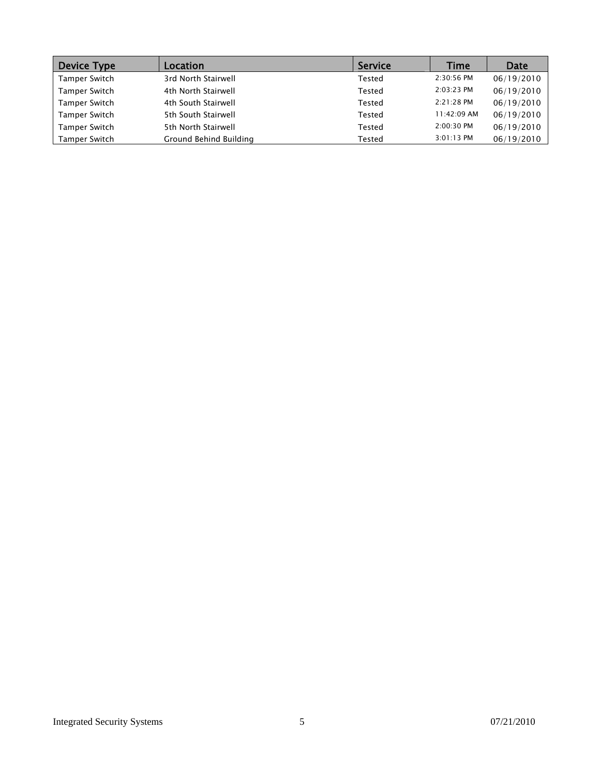| Device Type   | <b>Location</b>        | <b>Service</b> | Time         | Date       |
|---------------|------------------------|----------------|--------------|------------|
| Tamper Switch | 3rd North Stairwell    | Tested         | $2:30:56$ PM | 06/19/2010 |
| Tamper Switch | 4th North Stairwell    | Tested         | 2:03:23 PM   | 06/19/2010 |
| Tamper Switch | 4th South Stairwell    | Tested         | $2:21:28$ PM | 06/19/2010 |
| Tamper Switch | 5th South Stairwell    | Tested         | 11:42:09 AM  | 06/19/2010 |
| Tamper Switch | 5th North Stairwell    | Tested         | 2:00:30 PM   | 06/19/2010 |
| Tamper Switch | Ground Behind Building | Tested         | 3:01:13 PM   | 06/19/2010 |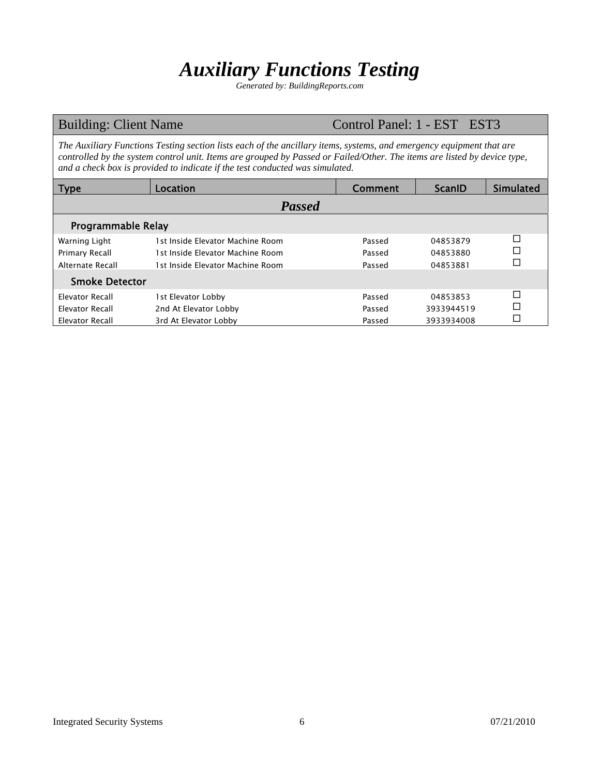## *Auxiliary Functions Testing*

*Generated by: BuildingReports.com* 

### Building: Client Name Control Panel: 1 - EST EST3

*The Auxiliary Functions Testing section lists each of the ancillary items, systems, and emergency equipment that are controlled by the system control unit. Items are grouped by Passed or Failed/Other. The items are listed by device type, and a check box is provided to indicate if the test conducted was simulated.* 

| <b>Type</b>            | Location                         | Comment | <b>ScanID</b> | <b>Simulated</b> |  |  |  |  |  |
|------------------------|----------------------------------|---------|---------------|------------------|--|--|--|--|--|
| <b>Passed</b>          |                                  |         |               |                  |  |  |  |  |  |
| Programmable Relay     |                                  |         |               |                  |  |  |  |  |  |
| Warning Light          | 1st Inside Elevator Machine Room | Passed  | 04853879      | □                |  |  |  |  |  |
| Primary Recall         | 1st Inside Elevator Machine Room | Passed  | 04853880      | ⊏                |  |  |  |  |  |
| Alternate Recall       | 1st Inside Flevator Machine Room | Passed  | 04853881      |                  |  |  |  |  |  |
| <b>Smoke Detector</b>  |                                  |         |               |                  |  |  |  |  |  |
| <b>Elevator Recall</b> | 1st Elevator Lobby               | Passed  | 04853853      | ┍                |  |  |  |  |  |
| Elevator Recall        | 2nd At Elevator Lobby            | Passed  | 3933944519    |                  |  |  |  |  |  |
| <b>Elevator Recall</b> | 3rd At Elevator Lobby            | Passed  | 3933934008    |                  |  |  |  |  |  |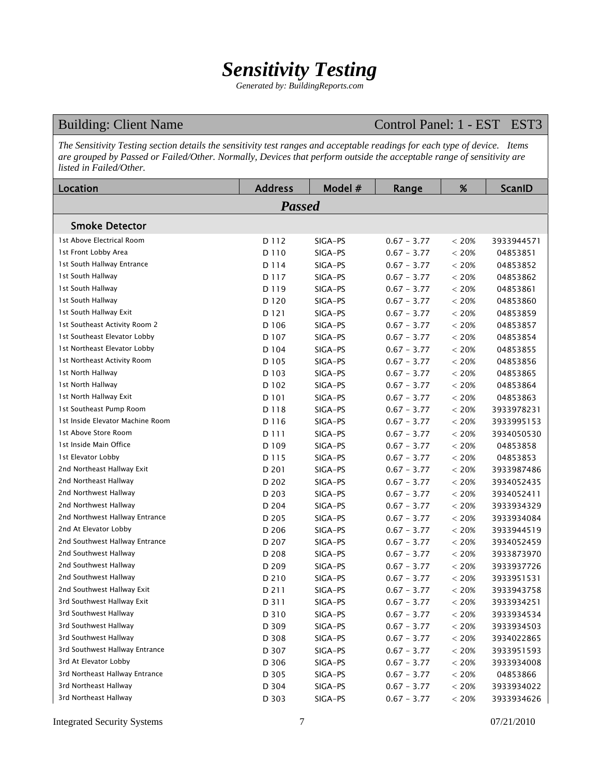## *Sensitivity Testing*

*Generated by: BuildingReports.com* 

### Building: Client Name Control Panel: 1 - EST EST3

*The Sensitivity Testing section details the sensitivity test ranges and acceptable readings for each type of device. Items are grouped by Passed or Failed/Other. Normally, Devices that perform outside the acceptable range of sensitivity are listed in Failed/Other.* 

| Location                         | <b>Address</b> | Model # | Range         | %        | <b>ScanID</b> |
|----------------------------------|----------------|---------|---------------|----------|---------------|
|                                  | <b>Passed</b>  |         |               |          |               |
| <b>Smoke Detector</b>            |                |         |               |          |               |
| 1st Above Electrical Room        | D 112          | SIGA-PS | $0.67 - 3.77$ | < 20%    | 3933944571    |
| 1st Front Lobby Area             | D 110          | SIGA-PS | $0.67 - 3.77$ | < 20%    | 04853851      |
| 1st South Hallway Entrance       | D 114          | SIGA-PS | $0.67 - 3.77$ | < 20%    | 04853852      |
| 1st South Hallway                | D 117          | SIGA-PS | $0.67 - 3.77$ | < 20%    | 04853862      |
| 1st South Hallway                | D 119          | SIGA-PS | $0.67 - 3.77$ | < 20%    | 04853861      |
| 1st South Hallway                | D 120          | SIGA-PS | $0.67 - 3.77$ | $< 20\%$ | 04853860      |
| 1st South Hallway Exit           | D 121          | SIGA-PS | $0.67 - 3.77$ | $< 20\%$ | 04853859      |
| 1st Southeast Activity Room 2    | D 106          | SIGA-PS | $0.67 - 3.77$ | < 20%    | 04853857      |
| 1st Southeast Elevator Lobby     | D 107          | SIGA-PS | $0.67 - 3.77$ | < 20%    | 04853854      |
| 1st Northeast Elevator Lobby     | D 104          | SIGA-PS | $0.67 - 3.77$ | < 20%    | 04853855      |
| 1st Northeast Activity Room      | D 105          | SIGA-PS | $0.67 - 3.77$ | $< 20\%$ | 04853856      |
| 1st North Hallway                | D 103          | SIGA-PS | $0.67 - 3.77$ | $< 20\%$ | 04853865      |
| 1st North Hallway                | D 102          | SIGA-PS | $0.67 - 3.77$ | < 20%    | 04853864      |
| 1st North Hallway Exit           | D 101          | SIGA-PS | $0.67 - 3.77$ | $< 20\%$ | 04853863      |
| 1st Southeast Pump Room          | D 118          | SIGA-PS | $0.67 - 3.77$ | < 20%    | 3933978231    |
| 1st Inside Elevator Machine Room | D 116          | SIGA-PS | $0.67 - 3.77$ | < 20%    | 3933995153    |
| 1st Above Store Room             | D 111          | SIGA-PS | $0.67 - 3.77$ | < 20%    | 3934050530    |
| 1st Inside Main Office           | D 109          | SIGA-PS | $0.67 - 3.77$ | < 20%    | 04853858      |
| 1st Elevator Lobby               | D 115          | SIGA-PS | $0.67 - 3.77$ | < 20%    | 04853853      |
| 2nd Northeast Hallway Exit       | D 201          | SIGA-PS | $0.67 - 3.77$ | < 20%    | 3933987486    |
| 2nd Northeast Hallway            | D 202          | SIGA-PS | $0.67 - 3.77$ | < 20%    | 3934052435    |
| 2nd Northwest Hallway            | D 203          | SIGA-PS | $0.67 - 3.77$ | < 20%    | 3934052411    |
| 2nd Northwest Hallway            | D 204          | SIGA-PS | $0.67 - 3.77$ | < 20%    | 3933934329    |
| 2nd Northwest Hallway Entrance   | D 205          | SIGA-PS | $0.67 - 3.77$ | < 20%    | 3933934084    |
| 2nd At Elevator Lobby            | D 206          | SIGA-PS | $0.67 - 3.77$ | $< 20\%$ | 3933944519    |
| 2nd Southwest Hallway Entrance   | D 207          | SIGA-PS | $0.67 - 3.77$ | $< 20\%$ | 3934052459    |
| 2nd Southwest Hallway            | D 208          | SIGA-PS | $0.67 - 3.77$ | < 20%    | 3933873970    |
| 2nd Southwest Hallway            | D 209          | SIGA-PS | $0.67 - 3.77$ | < 20%    | 3933937726    |
| 2nd Southwest Hallway            | D 210          | SIGA-PS | $0.67 - 3.77$ | < 20%    | 3933951531    |
| 2nd Southwest Hallway Exit       | D 211          | SIGA-PS | $0.67 - 3.77$ | $< 20\%$ | 3933943758    |
| 3rd Southwest Hallway Exit       | D 311          | SIGA-PS | $0.67 - 3.77$ | $< 20\%$ | 3933934251    |
| 3rd Southwest Hallway            | D 310          | SIGA-PS | $0.67 - 3.77$ | $< 20\%$ | 3933934534    |
| 3rd Southwest Hallway            | D 309          | SIGA-PS | $0.67 - 3.77$ | < 20%    | 3933934503    |
| 3rd Southwest Hallway            | D 308          | SIGA-PS | $0.67 - 3.77$ | $< 20\%$ | 3934022865    |
| 3rd Southwest Hallway Entrance   | D 307          | SIGA-PS | $0.67 - 3.77$ | $< 20\%$ | 3933951593    |
| 3rd At Elevator Lobby            | D 306          | SIGA-PS | $0.67 - 3.77$ | $< 20\%$ | 3933934008    |
| 3rd Northeast Hallway Entrance   | D 305          | SIGA-PS | $0.67 - 3.77$ | $< 20\%$ | 04853866      |
| 3rd Northeast Hallway            | D 304          | SIGA-PS | $0.67 - 3.77$ | $< 20\%$ | 3933934022    |
| 3rd Northeast Hallway            | D 303          | SIGA-PS | $0.67 - 3.77$ | $< 20\%$ | 3933934626    |

Integrated Security Systems 7 07/21/2010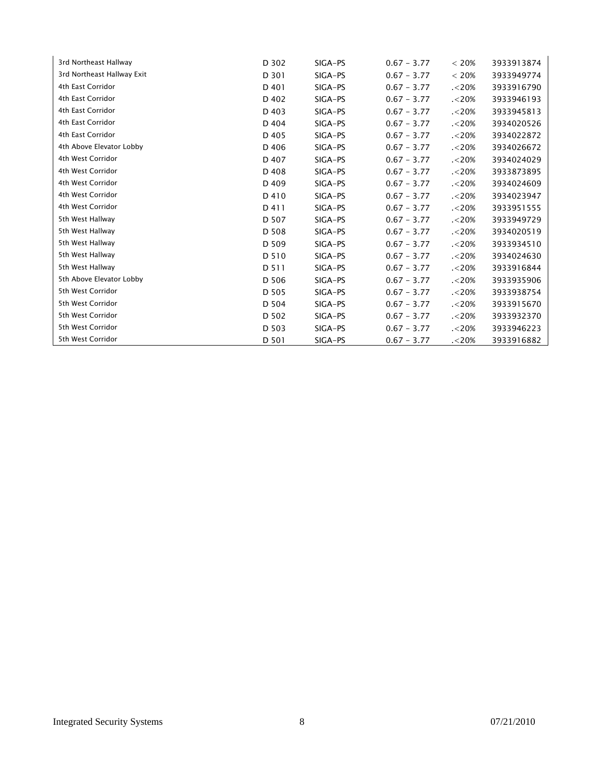| 3rd Northeast Hallway      | D 302 | SIGA-PS | $0.67 - 3.77$ | < 20%   | 3933913874 |
|----------------------------|-------|---------|---------------|---------|------------|
| 3rd Northeast Hallway Exit | D 301 | SIGA-PS | $0.67 - 3.77$ | < 20%   | 3933949774 |
| 4th East Corridor          | D 401 | SIGA-PS | $0.67 - 3.77$ | . < 20% | 3933916790 |
| 4th East Corridor          | D 402 | SIGA-PS | $0.67 - 3.77$ | . < 20% | 3933946193 |
| 4th East Corridor          | D 403 | SIGA-PS | $0.67 - 3.77$ | . < 20% | 3933945813 |
| 4th East Corridor          | D 404 | SIGA-PS | $0.67 - 3.77$ | 320%    | 3934020526 |
| 4th East Corridor          | D 405 | SIGA-PS | $0.67 - 3.77$ | . < 20% | 3934022872 |
| 4th Above Elevator Lobby   | D 406 | SIGA-PS | $0.67 - 3.77$ | . < 20% | 3934026672 |
| 4th West Corridor          | D 407 | SIGA-PS | $0.67 - 3.77$ | . < 20% | 3934024029 |
| 4th West Corridor          | D 408 | SIGA-PS | $0.67 - 3.77$ | . < 20% | 3933873895 |
| 4th West Corridor          | D 409 | SIGA-PS | $0.67 - 3.77$ | 320%    | 3934024609 |
| 4th West Corridor          | D 410 | SIGA-PS | $0.67 - 3.77$ | . < 20% | 3934023947 |
| 4th West Corridor          | D 411 | SIGA-PS | $0.67 - 3.77$ | . < 20% | 3933951555 |
| 5th West Hallway           | D 507 | SIGA-PS | $0.67 - 3.77$ | . < 20% | 3933949729 |
| 5th West Hallway           | D 508 | SIGA-PS | $0.67 - 3.77$ | . < 20% | 3934020519 |
| 5th West Hallway           | D 509 | SIGA-PS | $0.67 - 3.77$ | . < 20% | 3933934510 |
| 5th West Hallway           | D 510 | SIGA-PS | $0.67 - 3.77$ | . < 20% | 3934024630 |
| 5th West Hallway           | D 511 | SIGA-PS | $0.67 - 3.77$ | . < 20% | 3933916844 |
| 5th Above Elevator Lobby   | D 506 | SIGA-PS | $0.67 - 3.77$ | . < 20% | 3933935906 |
| 5th West Corridor          | D 505 | SIGA-PS | $0.67 - 3.77$ | . < 20% | 3933938754 |
| 5th West Corridor          | D 504 | SIGA-PS | $0.67 - 3.77$ | . < 20% | 3933915670 |
| 5th West Corridor          | D 502 | SIGA-PS | $0.67 - 3.77$ | . < 20% | 3933932370 |
| 5th West Corridor          | D 503 | SIGA-PS | $0.67 - 3.77$ | . < 20% | 3933946223 |
| 5th West Corridor          | D 501 | SIGA-PS | $0.67 - 3.77$ | . < 20% | 3933916882 |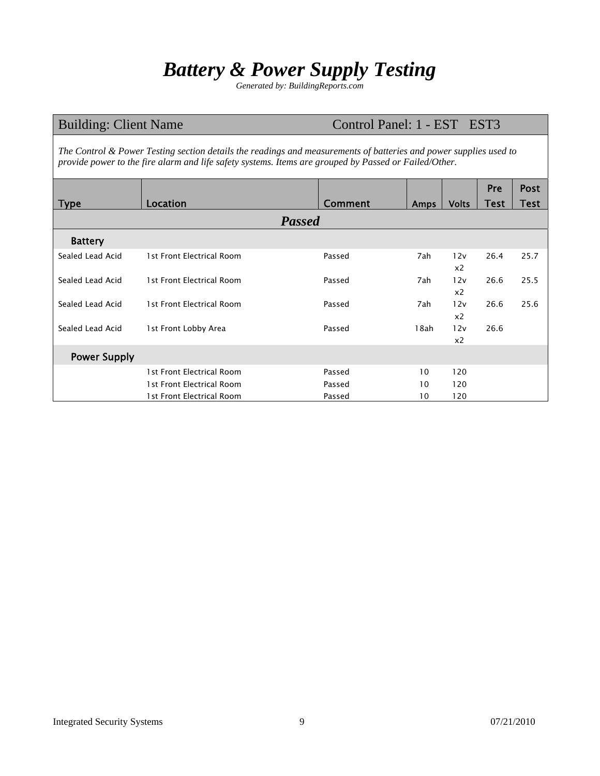## *Battery & Power Supply Testing*

*Generated by: BuildingReports.com* 

| <b>Building: Client Name</b><br>Control Panel: 1 - EST EST3                                                                                                                                                                |                           |         |      |                       |             |             |  |  |  |
|----------------------------------------------------------------------------------------------------------------------------------------------------------------------------------------------------------------------------|---------------------------|---------|------|-----------------------|-------------|-------------|--|--|--|
| The Control & Power Testing section details the readings and measurements of batteries and power supplies used to<br>provide power to the fire alarm and life safety systems. Items are grouped by Passed or Failed/Other. |                           |         |      |                       |             |             |  |  |  |
|                                                                                                                                                                                                                            |                           |         |      |                       | <b>Pre</b>  | <b>Post</b> |  |  |  |
| <b>Type</b>                                                                                                                                                                                                                | <b>Location</b>           | Comment | Amps | <b>Volts</b>          | <b>Test</b> | <b>Test</b> |  |  |  |
| <b>Passed</b>                                                                                                                                                                                                              |                           |         |      |                       |             |             |  |  |  |
| <b>Battery</b>                                                                                                                                                                                                             |                           |         |      |                       |             |             |  |  |  |
| Sealed Lead Acid                                                                                                                                                                                                           | 1st Front Electrical Room | Passed  | 7ah  | 12v                   | 26.4        | 25.7        |  |  |  |
|                                                                                                                                                                                                                            |                           |         |      | x <sub>2</sub>        |             |             |  |  |  |
| Sealed Lead Acid                                                                                                                                                                                                           | 1st Front Electrical Room | Passed  | 7ah  | 12v<br>x <sub>2</sub> | 26.6        | 25.5        |  |  |  |
| Sealed Lead Acid                                                                                                                                                                                                           | 1st Front Electrical Room | Passed  | 7ah  | 12v                   | 26.6        | 25.6        |  |  |  |
|                                                                                                                                                                                                                            |                           |         |      | x <sub>2</sub>        |             |             |  |  |  |
| Sealed Lead Acid                                                                                                                                                                                                           | 1st Front Lobby Area      | Passed  | 18ah | 12v                   | 26.6        |             |  |  |  |
|                                                                                                                                                                                                                            |                           |         |      | x <sub>2</sub>        |             |             |  |  |  |
| <b>Power Supply</b>                                                                                                                                                                                                        |                           |         |      |                       |             |             |  |  |  |
|                                                                                                                                                                                                                            | 1st Front Electrical Room | Passed  | 10   | 120                   |             |             |  |  |  |
|                                                                                                                                                                                                                            | 1st Front Electrical Room | Passed  | 10   | 120                   |             |             |  |  |  |
|                                                                                                                                                                                                                            | 1st Front Electrical Room | Passed  | 10   | 120                   |             |             |  |  |  |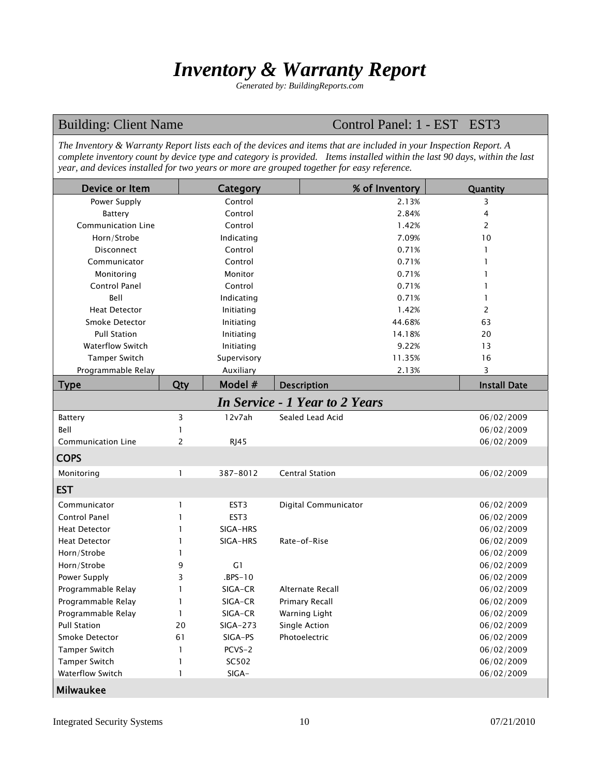## *Inventory & Warranty Report*

*Generated by: BuildingReports.com* 

### Building: Client Name Control Panel: 1 - EST EST3

*The Inventory & Warranty Report lists each of the devices and items that are included in your Inspection Report. A complete inventory count by device type and category is provided. Items installed within the last 90 days, within the last year, and devices installed for two years or more are grouped together for easy reference.* 

| Device or Item            |     | Category         | % of Inventory                        | Quantity            |
|---------------------------|-----|------------------|---------------------------------------|---------------------|
| Power Supply              |     | Control          | 2.13%                                 | 3                   |
| Battery                   |     | Control          | 2.84%                                 | 4                   |
| Communication Line        |     | Control          | 1.42%                                 | 2                   |
| Horn/Strobe               |     | Indicating       | 7.09%                                 | 10                  |
| <b>Disconnect</b>         |     | Control          | 0.71%                                 | 1                   |
| Communicator              |     | Control          | 0.71%                                 | $\mathbf{1}$        |
| Monitoring                |     | Monitor          | 0.71%                                 | 1                   |
| <b>Control Panel</b>      |     | Control          | 0.71%                                 | 1                   |
| Bell                      |     | Indicating       | 0.71%                                 | $\mathbf{1}$        |
| <b>Heat Detector</b>      |     | Initiating       | 1.42%                                 | 2                   |
| Smoke Detector            |     | Initiating       | 44.68%                                | 63                  |
| <b>Pull Station</b>       |     | Initiating       | 14.18%                                | 20                  |
| <b>Waterflow Switch</b>   |     | Initiating       | 9.22%                                 | 13                  |
| <b>Tamper Switch</b>      |     | Supervisory      | 11.35%                                | 16                  |
| Programmable Relay        |     | Auxiliary        | 2.13%                                 | 3                   |
| <b>Type</b>               | Qty | Model #          | <b>Description</b>                    | <b>Install Date</b> |
|                           |     |                  | <b>In Service - 1 Year to 2 Years</b> |                     |
| Battery                   | 3   | 12v7ah           | Sealed Lead Acid                      | 06/02/2009          |
| Bell                      | 1   |                  |                                       | 06/02/2009          |
| <b>Communication Line</b> | 2   | <b>RJ45</b>      |                                       | 06/02/2009          |
| <b>COPS</b>               |     |                  |                                       |                     |
| Monitoring                | 1   | 387-8012         | <b>Central Station</b>                | 06/02/2009          |
| <b>EST</b>                |     |                  |                                       |                     |
| Communicator              | 1   | EST <sub>3</sub> | Digital Communicator                  | 06/02/2009          |
| Control Panel             | 1   | EST <sub>3</sub> |                                       | 06/02/2009          |
| <b>Heat Detector</b>      | 1   | SIGA-HRS         |                                       | 06/02/2009          |
| <b>Heat Detector</b>      | 1   | SIGA-HRS         | Rate-of-Rise                          | 06/02/2009          |
| Horn/Strobe               | 1   |                  |                                       | 06/02/2009          |
| Horn/Strobe               | 9   | G1               |                                       | 06/02/2009          |
| Power Supply              | 3   | $.BPS-10$        |                                       | 06/02/2009          |
| Programmable Relay        | 1   | SIGA-CR          | Alternate Recall                      | 06/02/2009          |
| Programmable Relay        | 1   | SIGA-CR          | <b>Primary Recall</b>                 | 06/02/2009          |
| Programmable Relay        | 1   | SIGA-CR          | Warning Light                         | 06/02/2009          |
| <b>Pull Station</b>       | 20  | SIGA-273         | Single Action                         | 06/02/2009          |
| Smoke Detector            | 61  | SIGA-PS          | Photoelectric                         | 06/02/2009          |
| Tamper Switch             | 1   | PCVS-2           |                                       | 06/02/2009          |
| Tamper Switch             | 1   | SC502            |                                       | 06/02/2009          |
| Waterflow Switch          | 1   | SIGA-            |                                       | 06/02/2009          |
| <b>Milwaukee</b>          |     |                  |                                       |                     |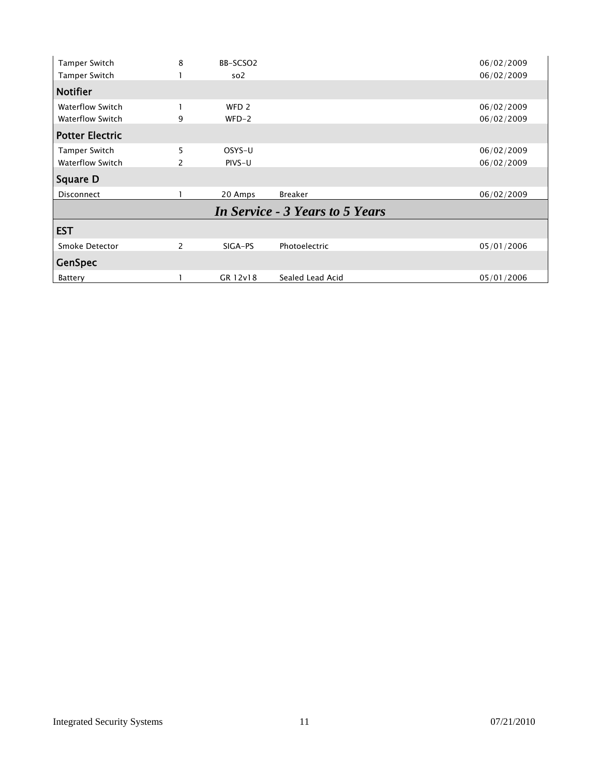| Tamper Switch           | 8              | BB-SCSO2         |                                        | 06/02/2009 |
|-------------------------|----------------|------------------|----------------------------------------|------------|
| Tamper Switch           |                | so <sub>2</sub>  |                                        | 06/02/2009 |
| <b>Notifier</b>         |                |                  |                                        |            |
| <b>Waterflow Switch</b> |                | WFD <sub>2</sub> |                                        | 06/02/2009 |
| <b>Waterflow Switch</b> | 9              | $WFD-2$          |                                        | 06/02/2009 |
| <b>Potter Electric</b>  |                |                  |                                        |            |
| Tamper Switch           | 5              | OSYS-U           |                                        | 06/02/2009 |
| <b>Waterflow Switch</b> | 2              | PIVS-U           |                                        | 06/02/2009 |
| <b>Square D</b>         |                |                  |                                        |            |
| <b>Disconnect</b>       |                | 20 Amps          | <b>Breaker</b>                         | 06/02/2009 |
|                         |                |                  | <b>In Service - 3 Years to 5 Years</b> |            |
| <b>EST</b>              |                |                  |                                        |            |
| Smoke Detector          | $\overline{2}$ | SIGA-PS          | Photoelectric                          | 05/01/2006 |
| <b>GenSpec</b>          |                |                  |                                        |            |
| Battery                 |                | GR 12v18         | Sealed Lead Acid                       | 05/01/2006 |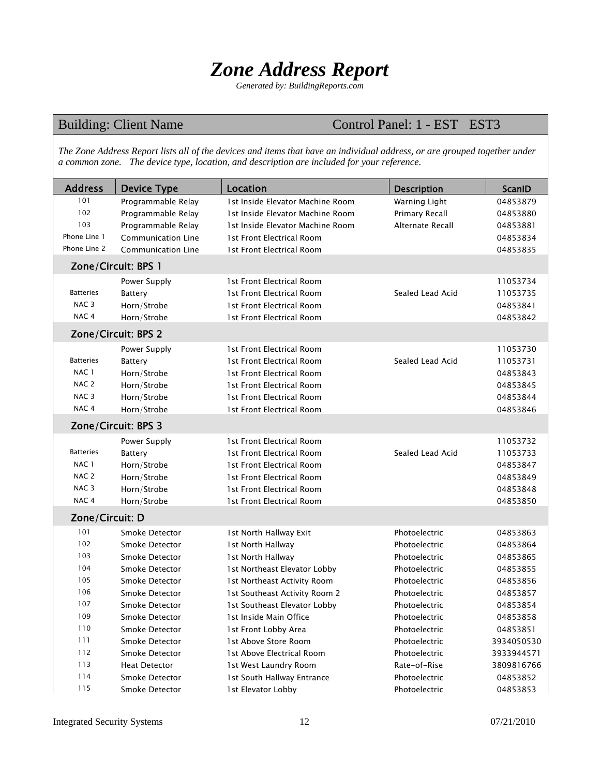## *Zone Address Report*

*Generated by: BuildingReports.com* 

### Building: Client Name Control Panel: 1 - EST EST3

*The Zone Address Report lists all of the devices and items that have an individual address, or are grouped together under a common zone. The device type, location, and description are included for your reference.* 

| <b>Address</b>   | <b>Device Type</b>   | Location                         | <b>Description</b> | ScanID     |
|------------------|----------------------|----------------------------------|--------------------|------------|
| 101              | Programmable Relay   | 1st Inside Elevator Machine Room | Warning Light      | 04853879   |
| 102              | Programmable Relay   | 1st Inside Elevator Machine Room | Primary Recall     | 04853880   |
| 103              | Programmable Relay   | 1st Inside Elevator Machine Room | Alternate Recall   | 04853881   |
| Phone Line 1     | Communication Line   | 1st Front Electrical Room        |                    | 04853834   |
| Phone Line 2     | Communication Line   | 1st Front Electrical Room        |                    | 04853835   |
|                  | Zone/Circuit: BPS 1  |                                  |                    |            |
|                  | Power Supply         | 1st Front Electrical Room        |                    | 11053734   |
| Batteries        | <b>Battery</b>       | 1st Front Electrical Room        | Sealed Lead Acid   | 11053735   |
| NAC <sub>3</sub> | Horn/Strobe          | 1st Front Electrical Room        |                    | 04853841   |
| NAC <sub>4</sub> | Horn/Strobe          | 1st Front Electrical Room        |                    | 04853842   |
|                  | Zone/Circuit: BPS 2  |                                  |                    |            |
|                  | Power Supply         | 1st Front Electrical Room        |                    | 11053730   |
| Batteries        | Battery              | 1st Front Electrical Room        | Sealed Lead Acid   | 11053731   |
| NAC 1            | Horn/Strobe          | 1st Front Electrical Room        |                    | 04853843   |
| NAC <sub>2</sub> | Horn/Strobe          | 1st Front Electrical Room        |                    | 04853845   |
| NAC <sub>3</sub> | Horn/Strobe          | 1st Front Electrical Room        |                    | 04853844   |
| NAC <sub>4</sub> | Horn/Strobe          | 1st Front Electrical Room        |                    | 04853846   |
|                  | Zone/Circuit: BPS 3  |                                  |                    |            |
|                  | Power Supply         | 1st Front Electrical Room        |                    | 11053732   |
| <b>Batteries</b> | Battery              | 1st Front Electrical Room        | Sealed Lead Acid   | 11053733   |
| NAC 1            | Horn/Strobe          | 1 st Front Electrical Room       |                    | 04853847   |
| NAC <sub>2</sub> | Horn/Strobe          | 1 st Front Electrical Room       |                    | 04853849   |
| NAC <sub>3</sub> | Horn/Strobe          | 1 st Front Electrical Room       |                    | 04853848   |
| NAC <sub>4</sub> | Horn/Strobe          | 1st Front Electrical Room        |                    | 04853850   |
| Zone/Circuit: D  |                      |                                  |                    |            |
| 101              | Smoke Detector       | 1st North Hallway Exit           | Photoelectric      | 04853863   |
| 102              | Smoke Detector       | 1st North Hallway                | Photoelectric      | 04853864   |
| 103              | Smoke Detector       | 1st North Hallway                | Photoelectric      | 04853865   |
| 104              | Smoke Detector       | 1st Northeast Elevator Lobby     | Photoelectric      | 04853855   |
| 105              | Smoke Detector       | 1st Northeast Activity Room      | Photoelectric      | 04853856   |
| 106              | Smoke Detector       | 1st Southeast Activity Room 2    | Photoelectric      | 04853857   |
| 107              | Smoke Detector       | 1st Southeast Elevator Lobby     | Photoelectric      | 04853854   |
| 109              | Smoke Detector       | 1st Inside Main Office           | Photoelectric      | 04853858   |
| 110              | Smoke Detector       | 1st Front Lobby Area             | Photoelectric      | 04853851   |
| 111              | Smoke Detector       | 1st Above Store Room             | Photoelectric      | 3934050530 |
| 112              | Smoke Detector       | 1st Above Electrical Room        | Photoelectric      | 3933944571 |
| 113              | <b>Heat Detector</b> | 1st West Laundry Room            | Rate-of-Rise       | 3809816766 |
| 114              | Smoke Detector       | 1st South Hallway Entrance       | Photoelectric      | 04853852   |
| 115              | Smoke Detector       | 1st Elevator Lobby               | Photoelectric      | 04853853   |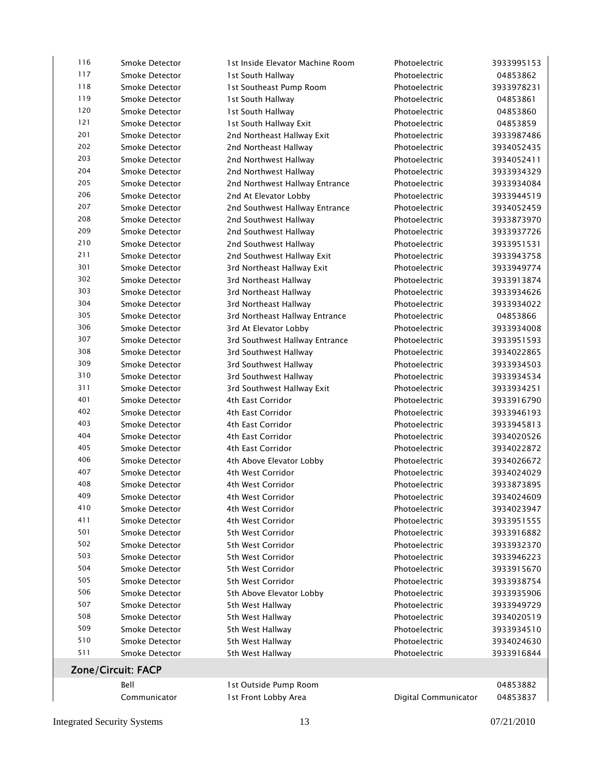| 116                | Smoke Detector | 1st Inside Elevator Machine Room | Photoelectric        | 3933995153 |  |  |
|--------------------|----------------|----------------------------------|----------------------|------------|--|--|
| 117                | Smoke Detector | 1st South Hallway                | Photoelectric        | 04853862   |  |  |
| 118                | Smoke Detector | 1st Southeast Pump Room          | Photoelectric        | 3933978231 |  |  |
| 119                | Smoke Detector | 1st South Hallway                | Photoelectric        | 04853861   |  |  |
| 120                | Smoke Detector | 1st South Hallway                | Photoelectric        | 04853860   |  |  |
| 121                | Smoke Detector | 1st South Hallway Exit           | Photoelectric        | 04853859   |  |  |
| 201                | Smoke Detector | 2nd Northeast Hallway Exit       | Photoelectric        | 3933987486 |  |  |
| 202                | Smoke Detector | 2nd Northeast Hallway            | Photoelectric        | 3934052435 |  |  |
| 203                | Smoke Detector | 2nd Northwest Hallway            | Photoelectric        | 3934052411 |  |  |
| 204                | Smoke Detector | 2nd Northwest Hallway            | Photoelectric        | 3933934329 |  |  |
| 205                | Smoke Detector | 2nd Northwest Hallway Entrance   | Photoelectric        | 3933934084 |  |  |
| 206                | Smoke Detector | 2nd At Elevator Lobby            | Photoelectric        | 3933944519 |  |  |
| 207                | Smoke Detector | 2nd Southwest Hallway Entrance   | Photoelectric        | 3934052459 |  |  |
| 208                | Smoke Detector | 2nd Southwest Hallway            | Photoelectric        | 3933873970 |  |  |
| 209                | Smoke Detector | 2nd Southwest Hallway            | Photoelectric        | 3933937726 |  |  |
| 210                | Smoke Detector | 2nd Southwest Hallway            | Photoelectric        | 3933951531 |  |  |
| 211                | Smoke Detector | 2nd Southwest Hallway Exit       | Photoelectric        | 3933943758 |  |  |
| 301                | Smoke Detector | 3rd Northeast Hallway Exit       | Photoelectric        | 3933949774 |  |  |
| 302                | Smoke Detector | 3rd Northeast Hallway            | Photoelectric        | 3933913874 |  |  |
| 303                |                |                                  |                      |            |  |  |
| 304                | Smoke Detector | 3rd Northeast Hallway            | Photoelectric        | 3933934626 |  |  |
| 305                | Smoke Detector | 3rd Northeast Hallway            | Photoelectric        | 3933934022 |  |  |
|                    | Smoke Detector | 3rd Northeast Hallway Entrance   | Photoelectric        | 04853866   |  |  |
| 306                | Smoke Detector | 3rd At Elevator Lobby            | Photoelectric        | 3933934008 |  |  |
| 307                | Smoke Detector | 3rd Southwest Hallway Entrance   | Photoelectric        | 3933951593 |  |  |
| 308                | Smoke Detector | 3rd Southwest Hallway            | Photoelectric        | 3934022865 |  |  |
| 309                | Smoke Detector | 3rd Southwest Hallway            | Photoelectric        | 3933934503 |  |  |
| 310                | Smoke Detector | 3rd Southwest Hallway            | Photoelectric        | 3933934534 |  |  |
| 311                | Smoke Detector | 3rd Southwest Hallway Exit       | Photoelectric        | 3933934251 |  |  |
| 401                | Smoke Detector | 4th East Corridor                | Photoelectric        | 3933916790 |  |  |
| 402                | Smoke Detector | 4th East Corridor                | Photoelectric        | 3933946193 |  |  |
| 403                | Smoke Detector | 4th East Corridor                | Photoelectric        | 3933945813 |  |  |
| 404                | Smoke Detector | 4th East Corridor                | Photoelectric        | 3934020526 |  |  |
| 405                | Smoke Detector | 4th East Corridor                | Photoelectric        | 3934022872 |  |  |
| 406                | Smoke Detector | 4th Above Elevator Lobby         | Photoelectric        | 3934026672 |  |  |
| 407                | Smoke Detector | 4th West Corridor                | Photoelectric        | 3934024029 |  |  |
| 408                | Smoke Detector | 4th West Corridor                | Photoelectric        | 3933873895 |  |  |
| 409                | Smoke Detector | 4th West Corridor                | Photoelectric        | 3934024609 |  |  |
| 410                | Smoke Detector | 4th West Corridor                | Photoelectric        | 3934023947 |  |  |
| 411                | Smoke Detector | 4th West Corridor                | Photoelectric        | 3933951555 |  |  |
| 501                | Smoke Detector | 5th West Corridor                | Photoelectric        | 3933916882 |  |  |
| 502                | Smoke Detector | 5th West Corridor                | Photoelectric        | 3933932370 |  |  |
| 503                | Smoke Detector | 5th West Corridor                | Photoelectric        | 3933946223 |  |  |
| 504                | Smoke Detector | 5th West Corridor                | Photoelectric        | 3933915670 |  |  |
| 505                | Smoke Detector | 5th West Corridor                | Photoelectric        | 3933938754 |  |  |
| 506                | Smoke Detector | 5th Above Elevator Lobby         | Photoelectric        | 3933935906 |  |  |
| 507                | Smoke Detector | 5th West Hallway                 | Photoelectric        | 3933949729 |  |  |
| 508                | Smoke Detector | 5th West Hallway                 | Photoelectric        | 3934020519 |  |  |
| 509                | Smoke Detector | 5th West Hallway                 | Photoelectric        | 3933934510 |  |  |
| 510                | Smoke Detector | 5th West Hallway                 | Photoelectric        | 3934024630 |  |  |
| 511                | Smoke Detector | 5th West Hallway                 | Photoelectric        | 3933916844 |  |  |
|                    |                |                                  |                      |            |  |  |
| Zone/Circuit: FACP |                |                                  |                      |            |  |  |
|                    | Bell           | 1st Outside Pump Room            |                      | 04853882   |  |  |
|                    | Communicator   | 1st Front Lobby Area             | Digital Communicator | 04853837   |  |  |
|                    |                |                                  |                      |            |  |  |

Integrated Security Systems 13 07/21/2010